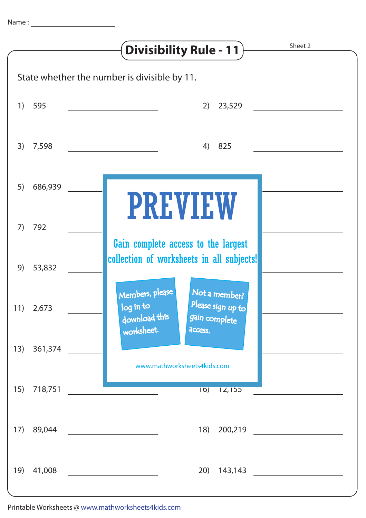|                                              |           | Sheet 2<br><b>Divisibility Rule - 11</b>                                                             |
|----------------------------------------------|-----------|------------------------------------------------------------------------------------------------------|
| State whether the number is divisible by 11. |           |                                                                                                      |
| 1)                                           | 595       | 23,529<br>2)                                                                                         |
| 3)                                           | 7,598     | 825<br>4)                                                                                            |
| 5)                                           | 686,939   | <b>PREVIEW</b>                                                                                       |
| 7)                                           | 792       | Gain complete access to the largest                                                                  |
| 9)                                           | 53,832    | collection of worksheets in all subjects!                                                            |
|                                              | 11) 2,673 | Members, please<br>Not a member?<br>Please sign up to<br>log in to<br>download this<br>gain complete |
| 13)                                          | 361,374   | worksheet.<br>access.<br>www.mathworksheets4kids.com                                                 |
| 15)                                          | 718,751   | 16)<br>12,155                                                                                        |
| 17)                                          | 89,044    | 18)<br>200,219                                                                                       |
| 19)                                          | 41,008    | 20)<br>143,143                                                                                       |